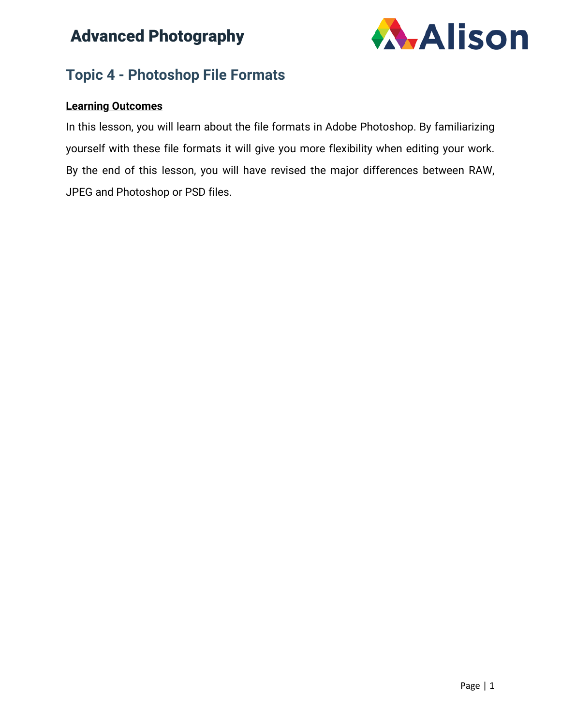

### **Topic 4 - Photoshop File Formats**

### **Learning Outcomes**

In this lesson, you will learn about the file formats in Adobe Photoshop. By familiarizing yourself with these file formats it will give you more flexibility when editing your work. By the end of this lesson, you will have revised the major differences between RAW, JPEG and Photoshop or PSD files.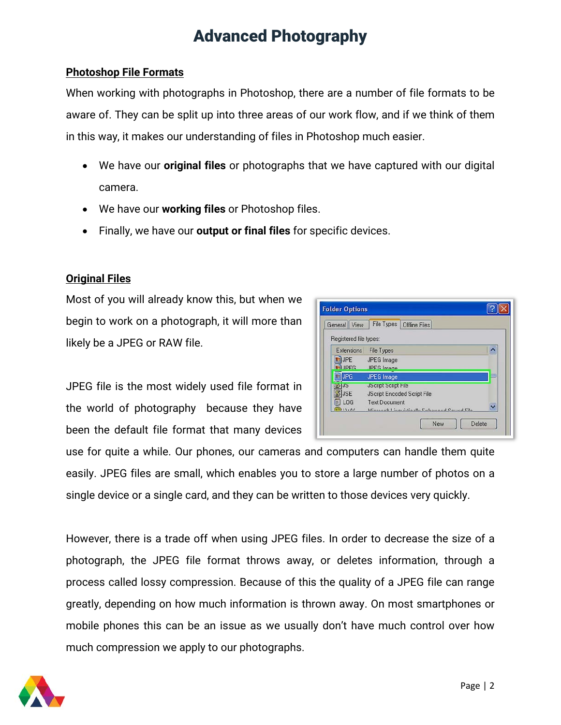#### **Photoshop File Formats**

When working with photographs in Photoshop, there are a number of file formats to be aware of. They can be split up into three areas of our work flow, and if we think of them in this way, it makes our understanding of files in Photoshop much easier.

- We have our **original files** or photographs that we have captured with our digital camera.
- We have our **working files** or Photoshop files.
- Finally, we have our **output or final files** for specific devices.

#### **Original Files**

Most of you will already know this, but when we begin to work on a photograph, it will more than likely be a JPEG or RAW file.

JPEG file is the most widely used file format in the world of photography because they have been the default file format that many devices

| General View                               | File Types<br>Offline Files                                                                                                            |                  |
|--------------------------------------------|----------------------------------------------------------------------------------------------------------------------------------------|------------------|
| Registered file types:                     |                                                                                                                                        |                  |
| <b>Extensions</b>                          | <b>File Types</b>                                                                                                                      | $\blacktriangle$ |
| <b>DUPE</b><br><b>IPEG</b>                 | JPEG Image<br><b>IPEG</b> Image                                                                                                        |                  |
| <b>JPG</b>                                 | <b>JPEG Image</b>                                                                                                                      |                  |
| 3135<br><b>JSE</b><br>LOG<br>۰<br>(3)13.01 | <b>JScript Script File</b><br>JScript Encoded Script File<br><b>Text Document</b><br>Miscogall I insuriation the Enterprise Count City |                  |

use for quite a while. Our phones, our cameras and computers can handle them quite easily. JPEG files are small, which enables you to store a large number of photos on a single device or a single card, and they can be written to those devices very quickly.

However, there is a trade off when using JPEG files. In order to decrease the size of a photograph, the JPEG file format throws away, or deletes information, through a process called lossy compression. Because of this the quality of a JPEG file can range greatly, depending on how much information is thrown away. On most smartphones or mobile phones this can be an issue as we usually don't have much control over how much compression we apply to our photographs.

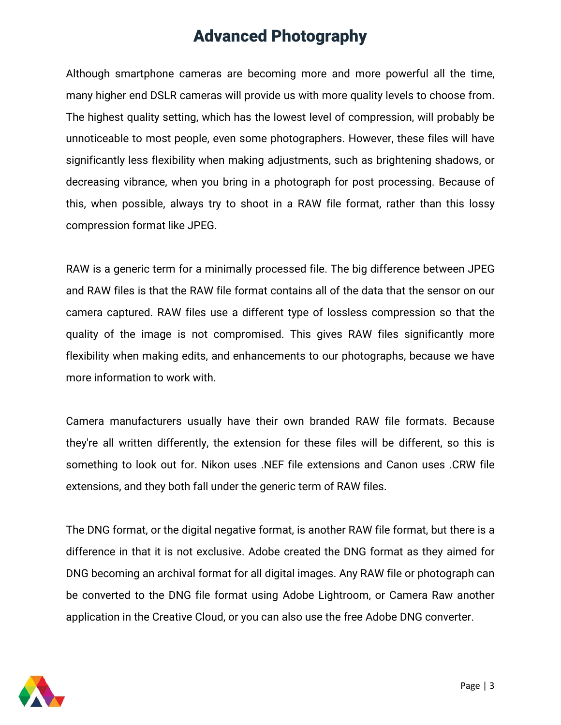Although smartphone cameras are becoming more and more powerful all the time, many higher end DSLR cameras will provide us with more quality levels to choose from. The highest quality setting, which has the lowest level of compression, will probably be unnoticeable to most people, even some photographers. However, these files will have significantly less flexibility when making adjustments, such as brightening shadows, or decreasing vibrance, when you bring in a photograph for post processing. Because of this, when possible, always try to shoot in a RAW file format, rather than this lossy compression format like JPEG.

RAW is a generic term for a minimally processed file. The big difference between JPEG and RAW files is that the RAW file format contains all of the data that the sensor on our camera captured. RAW files use a different type of lossless compression so that the quality of the image is not compromised. This gives RAW files significantly more flexibility when making edits, and enhancements to our photographs, because we have more information to work with.

Camera manufacturers usually have their own branded RAW file formats. Because they're all written differently, the extension for these files will be different, so this is something to look out for. Nikon uses .NEF file extensions and Canon uses .CRW file extensions, and they both fall under the generic term of RAW files.

The DNG format, or the digital negative format, is another RAW file format, but there is a difference in that it is not exclusive. Adobe created the DNG format as they aimed for DNG becoming an archival format for all digital images. Any RAW file or photograph can be converted to the DNG file format using Adobe Lightroom, or Camera Raw another application in the Creative Cloud, or you can also use the free Adobe DNG converter.

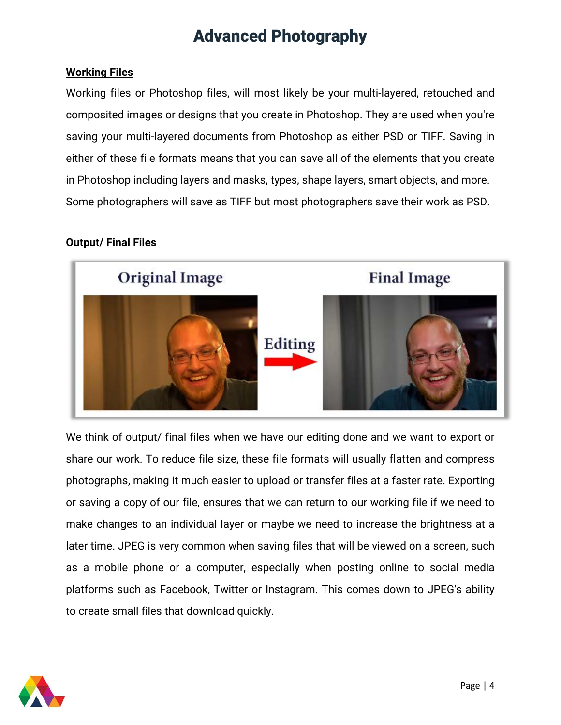#### **Working Files**

Working files or Photoshop files, will most likely be your multi-layered, retouched and composited images or designs that you create in Photoshop. They are used when you're saving your multi-layered documents from Photoshop as either PSD or TIFF. Saving in either of these file formats means that you can save all of the elements that you create in Photoshop including layers and masks, types, shape layers, smart objects, and more. Some photographers will save as TIFF but most photographers save their work as PSD.

#### **Output/ Final Files**



We think of output/ final files when we have our editing done and we want to export or share our work. To reduce file size, these file formats will usually flatten and compress photographs, making it much easier to upload or transfer files at a faster rate. Exporting or saving a copy of our file, ensures that we can return to our working file if we need to make changes to an individual layer or maybe we need to increase the brightness at a later time. JPEG is very common when saving files that will be viewed on a screen, such as a mobile phone or a computer, especially when posting online to social media platforms such as Facebook, Twitter or Instagram. This comes down to JPEG's ability to create small files that download quickly.

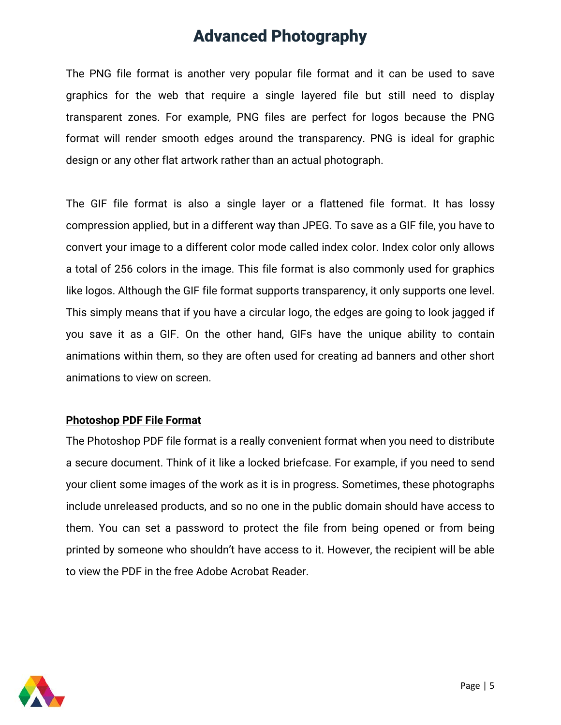The PNG file format is another very popular file format and it can be used to save graphics for the web that require a single layered file but still need to display transparent zones. For example, PNG files are perfect for logos because the PNG format will render smooth edges around the transparency. PNG is ideal for graphic design or any other flat artwork rather than an actual photograph.

The GIF file format is also a single layer or a flattened file format. It has lossy compression applied, but in a different way than JPEG. To save as a GIF file, you have to convert your image to a different color mode called index color. Index color only allows a total of 256 colors in the image. This file format is also commonly used for graphics like logos. Although the GIF file format supports transparency, it only supports one level. This simply means that if you have a circular logo, the edges are going to look jagged if you save it as a GIF. On the other hand, GIFs have the unique ability to contain animations within them, so they are often used for creating ad banners and other short animations to view on screen.

#### **Photoshop PDF File Format**

The Photoshop PDF file format is a really convenient format when you need to distribute a secure document. Think of it like a locked briefcase. For example, if you need to send your client some images of the work as it is in progress. Sometimes, these photographs include unreleased products, and so no one in the public domain should have access to them. You can set a password to protect the file from being opened or from being printed by someone who shouldn't have access to it. However, the recipient will be able to view the PDF in the free Adobe Acrobat Reader.